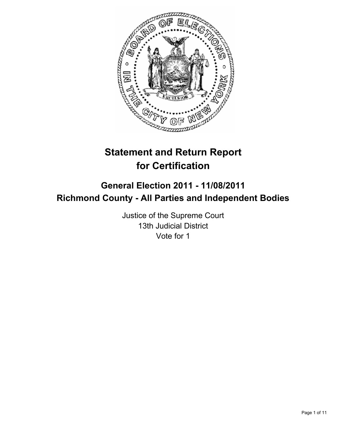

# **Statement and Return Report for Certification**

# **General Election 2011 - 11/08/2011 Richmond County - All Parties and Independent Bodies**

Justice of the Supreme Court 13th Judicial District Vote for 1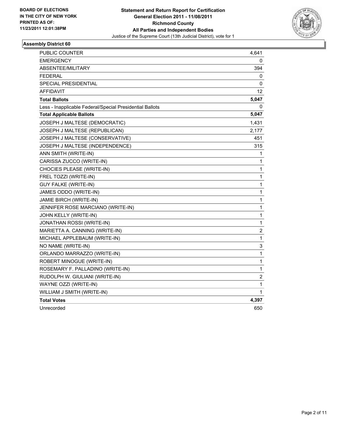

| PUBLIC COUNTER                                           | 4,641        |
|----------------------------------------------------------|--------------|
| <b>EMERGENCY</b>                                         | 0            |
| <b>ABSENTEE/MILITARY</b>                                 | 394          |
| <b>FEDERAL</b>                                           | 0            |
| SPECIAL PRESIDENTIAL                                     | 0            |
| AFFIDAVIT                                                | 12           |
| <b>Total Ballots</b>                                     | 5,047        |
| Less - Inapplicable Federal/Special Presidential Ballots | 0            |
| <b>Total Applicable Ballots</b>                          | 5,047        |
| JOSEPH J MALTESE (DEMOCRATIC)                            | 1,431        |
| JOSEPH J MALTESE (REPUBLICAN)                            | 2,177        |
| JOSEPH J MALTESE (CONSERVATIVE)                          | 451          |
| JOSEPH J MALTESE (INDEPENDENCE)                          | 315          |
| ANN SMITH (WRITE-IN)                                     | 1            |
| CARISSA ZUCCO (WRITE-IN)                                 | 1            |
| CHOCIES PLEASE (WRITE-IN)                                | 1            |
| FREL TOZZI (WRITE-IN)                                    | 1            |
| <b>GUY FALKE (WRITE-IN)</b>                              | 1            |
| JAMES ODDO (WRITE-IN)                                    | 1            |
| JAMIE BIRCH (WRITE-IN)                                   | 1            |
| JENNIFER ROSE MARCIANO (WRITE-IN)                        | 1            |
| JOHN KELLY (WRITE-IN)                                    | 1            |
| JONATHAN ROSSI (WRITE-IN)                                | $\mathbf{1}$ |
| MARIETTA A. CANNING (WRITE-IN)                           | 2            |
| MICHAEL APPLEBAUM (WRITE-IN)                             | 1            |
| NO NAME (WRITE-IN)                                       | 3            |
| ORLANDO MARRAZZO (WRITE-IN)                              | 1            |
| ROBERT MINOGUE (WRITE-IN)                                | 1            |
| ROSEMARY F. PALLADINO (WRITE-IN)                         | 1            |
| RUDOLPH W. GIULIANI (WRITE-IN)                           | $\mathbf 2$  |
| WAYNE OZZI (WRITE-IN)                                    | 1            |
| WILLIAM J SMITH (WRITE-IN)                               | 1            |
| <b>Total Votes</b>                                       | 4,397        |
| Unrecorded                                               | 650          |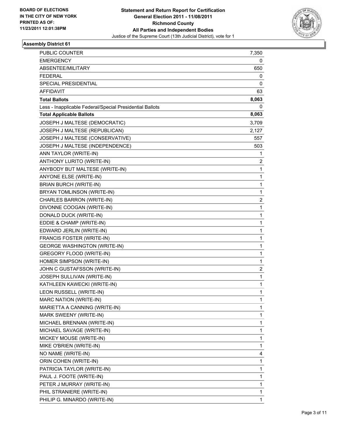

| <b>PUBLIC COUNTER</b>                                    | 7,350 |
|----------------------------------------------------------|-------|
| <b>EMERGENCY</b>                                         | 0     |
| ABSENTEE/MILITARY                                        | 650   |
| <b>FEDERAL</b>                                           | 0     |
| <b>SPECIAL PRESIDENTIAL</b>                              | 0     |
| AFFIDAVIT                                                | 63    |
| <b>Total Ballots</b>                                     | 8,063 |
| Less - Inapplicable Federal/Special Presidential Ballots | 0     |
| <b>Total Applicable Ballots</b>                          | 8,063 |
| JOSEPH J MALTESE (DEMOCRATIC)                            | 3,709 |
| JOSEPH J MALTESE (REPUBLICAN)                            | 2,127 |
| JOSEPH J MALTESE (CONSERVATIVE)                          | 557   |
| JOSEPH J MALTESE (INDEPENDENCE)                          | 503   |
| ANN TAYLOR (WRITE-IN)                                    | 1     |
| ANTHONY LURITO (WRITE-IN)                                | 2     |
| ANYBODY BUT MALTESE (WRITE-IN)                           | 1     |
| <b>ANYONE ELSE (WRITE-IN)</b>                            | 1     |
| <b>BRIAN BURCH (WRITE-IN)</b>                            | 1     |
| BRYAN TOMLINSON (WRITE-IN)                               | 1     |
| CHARLES BARRON (WRITE-IN)                                | 2     |
| DIVONNE COOGAN (WRITE-IN)                                | 1     |
| DONALD DUCK (WRITE-IN)                                   | 1     |
| EDDIE & CHAMP (WRITE-IN)                                 | 1     |
| EDWARD JERLIN (WRITE-IN)                                 | 1     |
| FRANCIS FOSTER (WRITE-IN)                                | 1     |
| <b>GEORGE WASHINGTON (WRITE-IN)</b>                      | 1     |
| <b>GREGORY FLOOD (WRITE-IN)</b>                          | 1     |
| HOMER SIMPSON (WRITE-IN)                                 | 1     |
| JOHN C GUSTAFSSON (WRITE-IN)                             | 2     |
| JOSEPH SULLIVAN (WRITE-IN)                               | 1     |
| KATHLEEN KAWECKI (WRITE-IN)                              | 1     |
| LEON RUSSELL (WRITE-IN)                                  | 1     |
| MARC NATION (WRITE-IN)                                   | 1     |
| MARIETTA A CANNING (WRITE-IN)                            | 1     |
| MARK SWEENY (WRITE-IN)                                   | 1     |
| MICHAEL BRENNAN (WRITE-IN)                               | 1     |
| MICHAEL SAVAGE (WRITE-IN)                                | 1     |
| MICKEY MOUSE (WRITE-IN)                                  | 1     |
| MIKE O'BRIEN (WRITE-IN)                                  | 1     |
| NO NAME (WRITE-IN)                                       | 4     |
| ORIN COHEN (WRITE-IN)                                    | 1     |
| PATRICIA TAYLOR (WRITE-IN)                               | 1     |
| PAUL J. FOOTE (WRITE-IN)                                 | 1     |
| PETER J MURRAY (WRITE-IN)                                | 1     |
| PHIL STRANIERE (WRITE-IN)                                | 1     |
| PHILIP G. MINARDO (WRITE-IN)                             | 1     |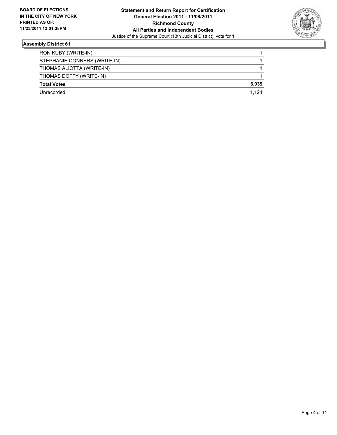

| RON KUBY (WRITE-IN)          |       |
|------------------------------|-------|
| STEPHANIE CONNERS (WRITE-IN) |       |
| THOMAS ALIOTTA (WRITE-IN)    |       |
| THOMAS DOFFY (WRITE-IN)      |       |
| <b>Total Votes</b>           | 6,939 |
| Unrecorded                   | 1.124 |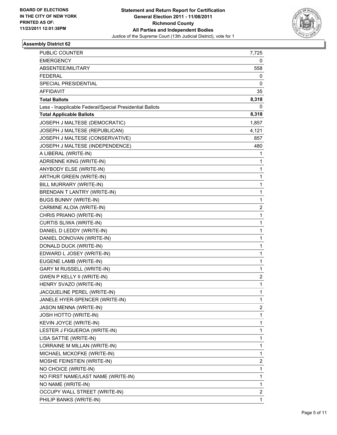

| PUBLIC COUNTER                                           | 7,725                   |
|----------------------------------------------------------|-------------------------|
| <b>EMERGENCY</b>                                         | 0                       |
| ABSENTEE/MILITARY                                        | 558                     |
| <b>FEDERAL</b>                                           | 0                       |
| SPECIAL PRESIDENTIAL                                     | 0                       |
| AFFIDAVIT                                                | 35                      |
| <b>Total Ballots</b>                                     | 8,318                   |
| Less - Inapplicable Federal/Special Presidential Ballots | 0                       |
| <b>Total Applicable Ballots</b>                          | 8,318                   |
| JOSEPH J MALTESE (DEMOCRATIC)                            | 1,857                   |
| JOSEPH J MALTESE (REPUBLICAN)                            | 4,121                   |
| JOSEPH J MALTESE (CONSERVATIVE)                          | 857                     |
| JOSEPH J MALTESE (INDEPENDENCE)                          | 480                     |
| A LIBERAL (WRITE-IN)                                     | 1                       |
| <b>ADRIENNE KING (WRITE-IN)</b>                          | 1                       |
| ANYBODY ELSE (WRITE-IN)                                  | 1                       |
| ARTHUR GREEN (WRITE-IN)                                  | 1                       |
| BILL MURRARY (WRITE-IN)                                  | 1                       |
| BRENDAN T LANTRY (WRITE-IN)                              | 1                       |
| <b>BUGS BUNNY (WRITE-IN)</b>                             | 1                       |
| CARMINE ALOIA (WRITE-IN)                                 | 2                       |
| CHRIS PRIANO (WRITE-IN)                                  | 1                       |
| CURTIS SLIWA (WRITE-IN)                                  | 1                       |
| DANIEL D LEDDY (WRITE-IN)                                | 1                       |
| DANIEL DONOVAN (WRITE-IN)                                | 1                       |
| DONALD DUCK (WRITE-IN)                                   | 1                       |
| EDWARD L JOSEY (WRITE-IN)                                | 1                       |
| EUGENE LAMB (WRITE-IN)                                   | 1                       |
| <b>GARY M RUSSELL (WRITE-IN)</b>                         | 1                       |
| GWEN P KELLY II (WRITE-IN)                               | 2                       |
| HENRY SVAZO (WRITE-IN)                                   | 1                       |
| JACQUELINE PEREL (WRITE-IN)                              | 1                       |
| JANELE HYER-SPENCER (WRITE-IN)                           | 1                       |
| JASON MENNA (WRITE-IN)                                   | 2                       |
| JOSH HOTTO (WRITE-IN)                                    | 1                       |
| KEVIN JOYCE (WRITE-IN)                                   | 1                       |
| LESTER J FIGUEROA (WRITE-IN)                             | 1                       |
| LISA SATTIE (WRITE-IN)                                   | 1                       |
| LORRAINE M MILLAN (WRITE-IN)                             | 1                       |
| MICHAEL MCKOFKE (WRITE-IN)                               | 1                       |
| MOSHE FEINSTIEN (WRITE-IN)                               | $\overline{\mathbf{c}}$ |
| NO CHOICE (WRITE-IN)                                     | 1                       |
| NO FIRST NAME/LAST NAME (WRITE-IN)                       | 1                       |
| NO NAME (WRITE-IN)                                       | 1                       |
| OCCUPY WALL STREET (WRITE-IN)                            | 2                       |
| PHILIP BANKS (WRITE-IN)                                  | 1                       |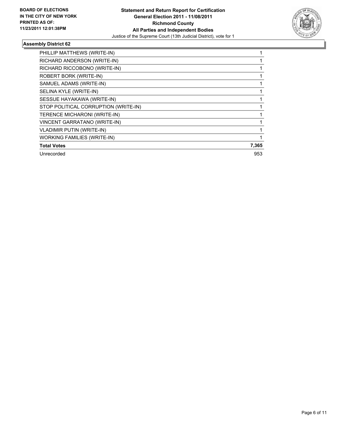

| PHILLIP MATTHEWS (WRITE-IN)          |       |
|--------------------------------------|-------|
| RICHARD ANDERSON (WRITE-IN)          |       |
| RICHARD RICCOBONO (WRITE-IN)         |       |
| ROBERT BORK (WRITE-IN)               |       |
| SAMUEL ADAMS (WRITE-IN)              |       |
| SELINA KYLE (WRITE-IN)               |       |
| SESSUE HAYAKAWA (WRITE-IN)           |       |
| STOP POLITICAL CORRUPTION (WRITE-IN) |       |
| TERENCE MICHARONI (WRITE-IN)         |       |
| <b>VINCENT GARRATANO (WRITE-IN)</b>  |       |
| <b>VLADIMIR PUTIN (WRITE-IN)</b>     |       |
| <b>WORKING FAMILIES (WRITE-IN)</b>   |       |
| <b>Total Votes</b>                   | 7,365 |
| Unrecorded                           | 953   |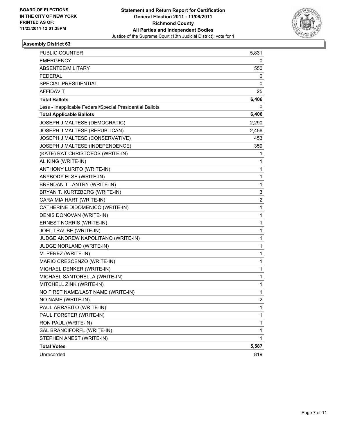

| <b>PUBLIC COUNTER</b>                                    | 5,831                   |
|----------------------------------------------------------|-------------------------|
| <b>EMERGENCY</b>                                         | 0                       |
| ABSENTEE/MILITARY                                        | 550                     |
| <b>FEDERAL</b>                                           | 0                       |
| <b>SPECIAL PRESIDENTIAL</b>                              | 0                       |
| AFFIDAVIT                                                | 25                      |
| <b>Total Ballots</b>                                     | 6,406                   |
| Less - Inapplicable Federal/Special Presidential Ballots | 0                       |
| <b>Total Applicable Ballots</b>                          | 6,406                   |
| JOSEPH J MALTESE (DEMOCRATIC)                            | 2,290                   |
| JOSEPH J MALTESE (REPUBLICAN)                            | 2,456                   |
| JOSEPH J MALTESE (CONSERVATIVE)                          | 453                     |
| JOSEPH J MALTESE (INDEPENDENCE)                          | 359                     |
| (KATE) RAT CHRISTOFOS (WRITE-IN)                         | 1                       |
| AL KING (WRITE-IN)                                       | 1                       |
| ANTHONY LURITO (WRITE-IN)                                | 1                       |
| ANYBODY ELSE (WRITE-IN)                                  | 1                       |
| BRENDAN T LANTRY (WRITE-IN)                              | 1                       |
| BRYAN T. KURTZBERG (WRITE-IN)                            | 3                       |
| CARA MIA HART (WRITE-IN)                                 | $\overline{\mathbf{c}}$ |
| CATHERINE DIDOMENICO (WRITE-IN)                          | 1                       |
| DENIS DONOVAN (WRITE-IN)                                 | 1                       |
| ERNEST NORRIS (WRITE-IN)                                 | 1                       |
| JOEL TRAUBE (WRITE-IN)                                   | 1                       |
| JUDGE ANDREW NAPOLITANO (WRITE-IN)                       | 1                       |
| JUDGE NORLAND (WRITE-IN)                                 | 1                       |
| M. PEREZ (WRITE-IN)                                      | 1                       |
| MARIO CRESCENZO (WRITE-IN)                               | 1                       |
| MICHAEL DENKER (WRITE-IN)                                | 1                       |
| MICHAEL SANTORELLA (WRITE-IN)                            | 1                       |
| MITCHELL ZINK (WRITE-IN)                                 | 1                       |
| NO FIRST NAME/LAST NAME (WRITE-IN)                       | 1                       |
| NO NAME (WRITE-IN)                                       | 2                       |
| PAUL ARRABITO (WRITE-IN)                                 | 1                       |
| PAUL FORSTER (WRITE-IN)                                  | 1                       |
| RON PAUL (WRITE-IN)                                      | 1                       |
| SAL BRANCIFORFL (WRITE-IN)                               | 1                       |
| STEPHEN ANEST (WRITE-IN)                                 | 1                       |
| <b>Total Votes</b>                                       | 5,587                   |
| Unrecorded                                               | 819                     |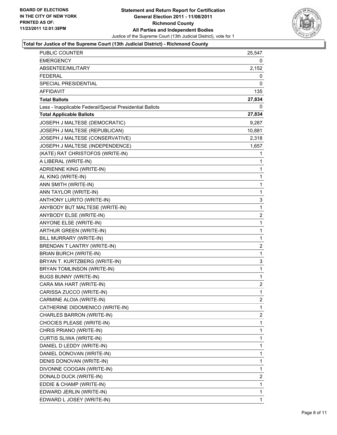

#### **Total for Justice of the Supreme Court (13th Judicial District) - Richmond County**

| <b>PUBLIC COUNTER</b>                                    | 25,547         |
|----------------------------------------------------------|----------------|
| <b>EMERGENCY</b>                                         | 0              |
| ABSENTEE/MILITARY                                        | 2,152          |
| <b>FEDERAL</b>                                           | 0              |
| SPECIAL PRESIDENTIAL                                     | 0              |
| AFFIDAVIT                                                | 135            |
| <b>Total Ballots</b>                                     | 27,834         |
| Less - Inapplicable Federal/Special Presidential Ballots | 0              |
| <b>Total Applicable Ballots</b>                          | 27,834         |
| JOSEPH J MALTESE (DEMOCRATIC)                            | 9,287          |
| JOSEPH J MALTESE (REPUBLICAN)                            | 10,881         |
| JOSEPH J MALTESE (CONSERVATIVE)                          | 2,318          |
| JOSEPH J MALTESE (INDEPENDENCE)                          | 1,657          |
| (KATE) RAT CHRISTOFOS (WRITE-IN)                         | 1              |
| A LIBERAL (WRITE-IN)                                     | 1              |
| ADRIENNE KING (WRITE-IN)                                 | 1              |
| AL KING (WRITE-IN)                                       | 1              |
| ANN SMITH (WRITE-IN)                                     | $\mathbf{1}$   |
| ANN TAYLOR (WRITE-IN)                                    | 1              |
| ANTHONY LURITO (WRITE-IN)                                | 3              |
| ANYBODY BUT MALTESE (WRITE-IN)                           | 1              |
| ANYBODY ELSE (WRITE-IN)                                  | 2              |
| ANYONE ELSE (WRITE-IN)                                   | 1              |
| ARTHUR GREEN (WRITE-IN)                                  | $\mathbf{1}$   |
| BILL MURRARY (WRITE-IN)                                  | 1              |
| BRENDAN T LANTRY (WRITE-IN)                              | 2              |
| BRIAN BURCH (WRITE-IN)                                   | $\mathbf{1}$   |
| BRYAN T. KURTZBERG (WRITE-IN)                            | 3              |
| BRYAN TOMLINSON (WRITE-IN)                               | 1              |
| <b>BUGS BUNNY (WRITE-IN)</b>                             | $\mathbf{1}$   |
| CARA MIA HART (WRITE-IN)                                 | 2              |
| CARISSA ZUCCO (WRITE-IN)                                 | 1              |
| CARMINE ALOIA (WRITE-IN)                                 | $\overline{c}$ |
| CATHERINE DIDOMENICO (WRITE-IN)                          | 1              |
| CHARLES BARRON (WRITE-IN)                                | 2              |
| CHOCIES PLEASE (WRITE-IN)                                | 1              |
| CHRIS PRIANO (WRITE-IN)                                  | 1              |
| CURTIS SLIWA (WRITE-IN)                                  | 1              |
| DANIEL D LEDDY (WRITE-IN)                                | 1              |
| DANIEL DONOVAN (WRITE-IN)                                | 1              |
| DENIS DONOVAN (WRITE-IN)                                 | 1              |
| DIVONNE COOGAN (WRITE-IN)                                | 1              |
| DONALD DUCK (WRITE-IN)                                   | 2              |
| EDDIE & CHAMP (WRITE-IN)                                 | 1              |
| EDWARD JERLIN (WRITE-IN)                                 | 1              |
| EDWARD L JOSEY (WRITE-IN)                                | 1              |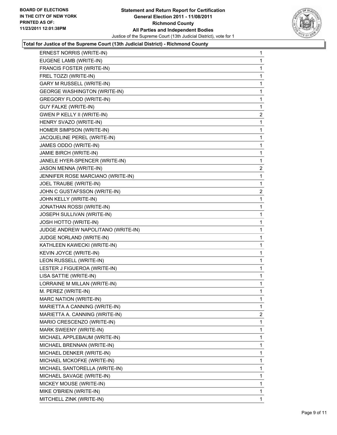

#### **Total for Justice of the Supreme Court (13th Judicial District) - Richmond County**

| ERNEST NORRIS (WRITE-IN)            | 1              |
|-------------------------------------|----------------|
| EUGENE LAMB (WRITE-IN)              | 1              |
| FRANCIS FOSTER (WRITE-IN)           | 1              |
| FREL TOZZI (WRITE-IN)               | 1              |
| <b>GARY M RUSSELL (WRITE-IN)</b>    | 1              |
| <b>GEORGE WASHINGTON (WRITE-IN)</b> | 1              |
| GREGORY FLOOD (WRITE-IN)            | 1              |
| <b>GUY FALKE (WRITE-IN)</b>         | 1              |
| <b>GWEN P KELLY II (WRITE-IN)</b>   | 2              |
| HENRY SVAZO (WRITE-IN)              | 1              |
| HOMER SIMPSON (WRITE-IN)            | 1              |
| JACQUELINE PEREL (WRITE-IN)         | 1              |
| JAMES ODDO (WRITE-IN)               | 1              |
| JAMIE BIRCH (WRITE-IN)              | 1              |
| JANELE HYER-SPENCER (WRITE-IN)      | 1              |
| JASON MENNA (WRITE-IN)              | $\overline{c}$ |
| JENNIFER ROSE MARCIANO (WRITE-IN)   | 1              |
| JOEL TRAUBE (WRITE-IN)              | 1              |
| JOHN C GUSTAFSSON (WRITE-IN)        | $\overline{2}$ |
| JOHN KELLY (WRITE-IN)               | 1              |
| JONATHAN ROSSI (WRITE-IN)           | 1              |
| JOSEPH SULLIVAN (WRITE-IN)          | 1              |
| <b>JOSH HOTTO (WRITE-IN)</b>        | 1              |
| JUDGE ANDREW NAPOLITANO (WRITE-IN)  | 1              |
| JUDGE NORLAND (WRITE-IN)            | 1              |
| KATHLEEN KAWECKI (WRITE-IN)         | 1              |
| KEVIN JOYCE (WRITE-IN)              | 1              |
| LEON RUSSELL (WRITE-IN)             | 1              |
| LESTER J FIGUEROA (WRITE-IN)        | 1              |
| LISA SATTIE (WRITE-IN)              | 1              |
| LORRAINE M MILLAN (WRITE-IN)        | 1              |
| M. PEREZ (WRITE-IN)                 | 1              |
| MARC NATION (WRITE-IN)              | 1              |
| MARIETTA A CANNING (WRITE-IN)       | 1              |
| MARIETTA A. CANNING (WRITE-IN)      | $\overline{2}$ |
| MARIO CRESCENZO (WRITE-IN)          | 1              |
| MARK SWEENY (WRITE-IN)              | 1              |
| MICHAEL APPLEBAUM (WRITE-IN)        | 1              |
| MICHAEL BRENNAN (WRITE-IN)          | 1              |
| MICHAEL DENKER (WRITE-IN)           | 1              |
| MICHAEL MCKOFKE (WRITE-IN)          | 1              |
| MICHAEL SANTORELLA (WRITE-IN)       | 1              |
| MICHAEL SAVAGE (WRITE-IN)           | 1              |
| MICKEY MOUSE (WRITE-IN)             | 1              |
| MIKE O'BRIEN (WRITE-IN)             | 1              |
| MITCHELL ZINK (WRITE-IN)            | 1              |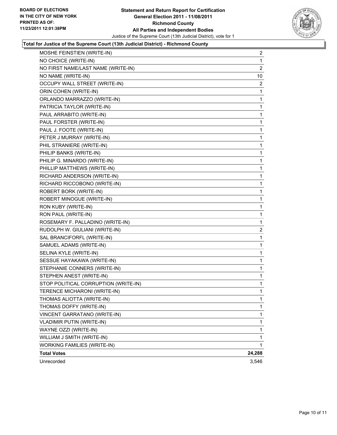

#### **Total for Justice of the Supreme Court (13th Judicial District) - Richmond County**

| MOSHE FEINSTIEN (WRITE-IN)           | 2              |
|--------------------------------------|----------------|
| NO CHOICE (WRITE-IN)                 | 1              |
| NO FIRST NAME/LAST NAME (WRITE-IN)   | $\overline{2}$ |
| NO NAME (WRITE-IN)                   | 10             |
| OCCUPY WALL STREET (WRITE-IN)        | 2              |
| ORIN COHEN (WRITE-IN)                | 1              |
| ORLANDO MARRAZZO (WRITE-IN)          | 1              |
| PATRICIA TAYLOR (WRITE-IN)           | 1              |
| PAUL ARRABITO (WRITE-IN)             | 1              |
| PAUL FORSTER (WRITE-IN)              | 1              |
| PAUL J. FOOTE (WRITE-IN)             | 1              |
| PETER J MURRAY (WRITE-IN)            | 1              |
| PHIL STRANIERE (WRITE-IN)            | 1              |
| PHILIP BANKS (WRITE-IN)              | 1              |
| PHILIP G. MINARDO (WRITE-IN)         | 1              |
| PHILLIP MATTHEWS (WRITE-IN)          | 1              |
| RICHARD ANDERSON (WRITE-IN)          | 1              |
| RICHARD RICCOBONO (WRITE-IN)         | 1              |
| ROBERT BORK (WRITE-IN)               | 1              |
| ROBERT MINOGUE (WRITE-IN)            | 1              |
| RON KUBY (WRITE-IN)                  | 1              |
| RON PAUL (WRITE-IN)                  | 1              |
| ROSEMARY F. PALLADINO (WRITE-IN)     | 1              |
| RUDOLPH W. GIULIANI (WRITE-IN)       | 2              |
| SAL BRANCIFORFL (WRITE-IN)           | 1              |
| SAMUEL ADAMS (WRITE-IN)              | 1              |
| SELINA KYLE (WRITE-IN)               | 1              |
| SESSUE HAYAKAWA (WRITE-IN)           | 1              |
| STEPHANIE CONNERS (WRITE-IN)         | 1              |
| STEPHEN ANEST (WRITE-IN)             | 1              |
| STOP POLITICAL CORRUPTION (WRITE-IN) | 1              |
| TERENCE MICHARONI (WRITE-IN)         | 1              |
| THOMAS ALIOTTA (WRITE-IN)            | 1              |
| THOMAS DOFFY (WRITE-IN)              | 1              |
| VINCENT GARRATANO (WRITE-IN)         | 1              |
| <b>VLADIMIR PUTIN (WRITE-IN)</b>     | 1              |
| WAYNE OZZI (WRITE-IN)                | 1              |
| WILLIAM J SMITH (WRITE-IN)           | 1              |
| <b>WORKING FAMILIES (WRITE-IN)</b>   | 1              |
| <b>Total Votes</b>                   | 24,288         |
| Unrecorded                           | 3,546          |